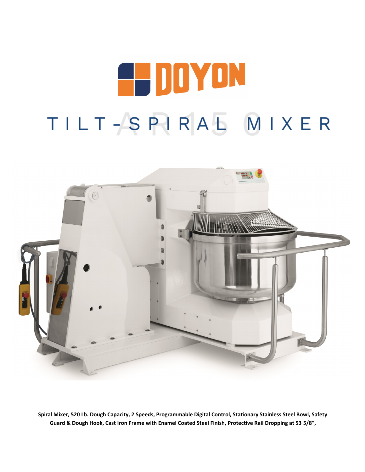# **E-DOYON** TILT-SPIRAL MIXER



**Spiral Mixer, 520 Lb. Dough Capacity, 2 Speeds, Programmable Digital Control, Stationary Stainless Steel Bowl, Safety Guard & Dough Hook, Cast Iron Frame with Enamel Coated Steel Finish, Protective Rail Dropping at 53 5/8",**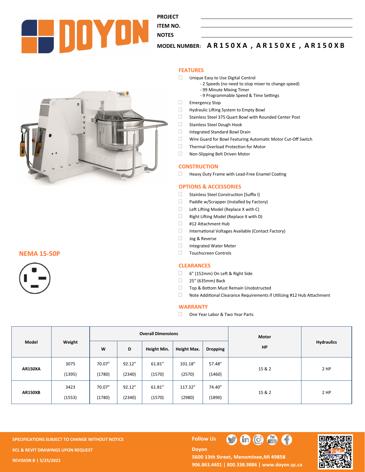

**PROJECT ITEM NO.** 

# **NOTES**

# **MODEL NUMBER: A R 1 5 0 X A , A R 1 5 0 X E , A R 1 5 0 X B**

#### **FEATURES**

- Unique Easy to Use Digital Control
	- 2 Speeds (no need to stop mixer to change speed)
	- 99 Minute Mixing Timer
	- 9 Programmable Speed & Time Settings
- Emergency Stop
- **Hydraulic Lifting System to Empty Bowl**
- Stainless Steel 375 Quart Bowl with Rounded Center Post
- Stainless Steel Dough Hook
- Integrated Standard Bowl Drain
- Wire Guard for Bowl Featuring Automatic Motor Cut-Off Switch
- Thermal Overload Protection for Motor
- Non-Slipping Belt Driven Motor

#### **CONSTRUCTION**

 $\Box$  Heavy Duty Frame with Lead-Free Enamel Coating

#### **OPTIONS & ACCESSORIES**

- □ Stainless Steel Construction [Suffix I]
- □ Paddle w/Scrapper (Installed by Factory)
- $\Box$  Left Lifting Model (Replace X with C)
- Right Lifting Model (Replace X with D)
- □ #12 Attachment Hub
- International Voltages Available (Contact Factory)
- Jog & Reverse
- Integrated Water Meter
- Touchscreen Controls

#### **CLEARANCES**

- 6" (152mm) On Left & Right Side
- 25" (635mm) Back
- □ Top & Bottom Must Remain Unobstructed
- Note Additional Clearance Requirements if Utilizing #12 Hub Attachment

#### **WARRANTY**

□ One Year Labor & Two Year Parts

| Model          | Weight | <b>Overall Dimensions</b> |        |             |             |                 | <b>Motor</b> |                   |
|----------------|--------|---------------------------|--------|-------------|-------------|-----------------|--------------|-------------------|
|                |        | W                         | D      | Height Min. | Height Max. | <b>Dropping</b> | <b>HP</b>    | <b>Hydraulics</b> |
| <b>AR150XA</b> | 3075   | 70.07"                    | 92.12" | 61.81"      | 101.18"     | 57.48"          |              | 2 HP              |
|                | (1395) | (1780)                    | (2340) | (1570)      | (2570)      | (1460)          | 15 & 2       |                   |
| <b>AR150XB</b> | 3423   | 70.07"                    | 92.12" | 61.81"      | 117.32"     | 74.40"          |              | 2 HP              |
|                | (1553) | (1780)                    | (2340) | (1570)      | (2980)      | (1890)          | 15 & 2       |                   |

**SPECIFICATIONS SUBJECT TO CHANGE WITHOUT NOTICE FOLLOW US KCL & REVIT DRAWINGS UPON REQUEST REVISION B | 5/25/2021**

**Doyon** 



5600 13th Street, Menominee, MI 49858 **906.863.4401 | 800.338.9886 | [www.doyon.qc.ca](http://www.doyon.qc.ca/)**

O

 $\mathbf{G}$   $\mathbf{G}$   $\mathbf{G}$ 



**THERE** 

### **NEMA 15-50P**